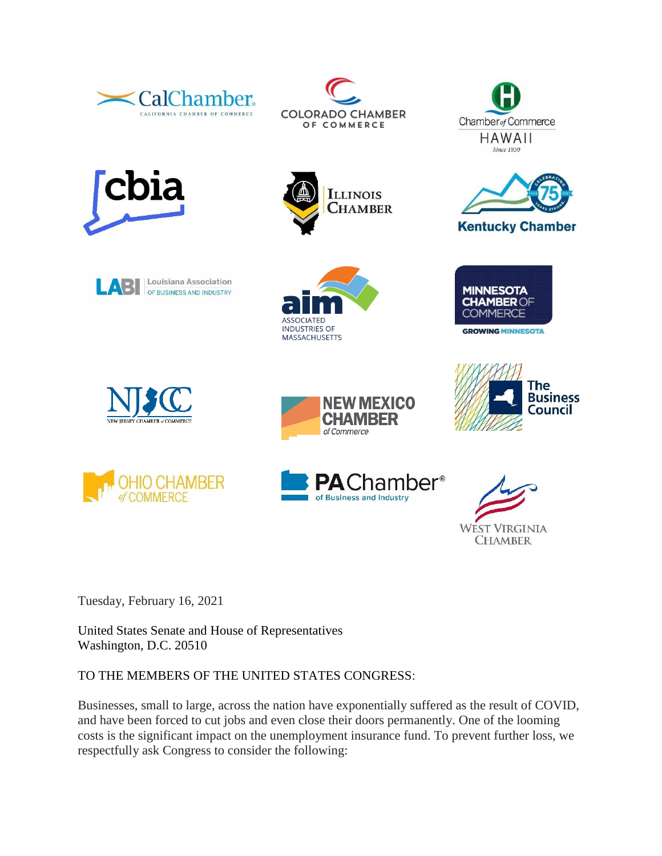



**ILLINOIS CHAMBER** 















**MINNESOTA** 

**CHAMBER OF COMMERCE** 

**GROWING MINNESOTA** 







Tuesday, February 16, 2021

United States Senate and House of Representatives Washington, D.C. 20510

# TO THE MEMBERS OF THE UNITED STATES CONGRESS:

Businesses, small to large, across the nation have exponentially suffered as the result of COVID, and have been forced to cut jobs and even close their doors permanently. One of the looming costs is the significant impact on the unemployment insurance fund. To prevent further loss, we respectfully ask Congress to consider the following: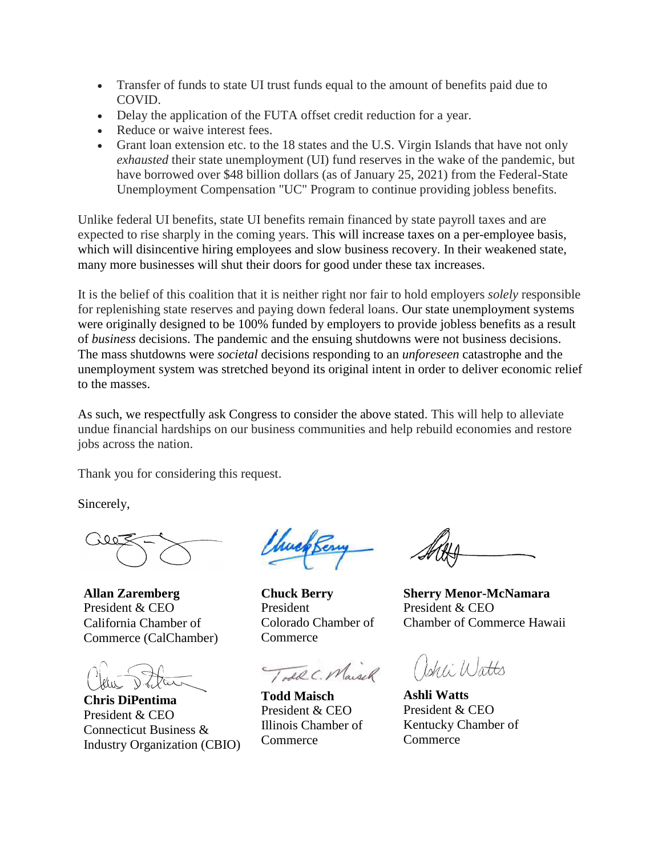- Transfer of funds to state UI trust funds equal to the amount of benefits paid due to COVID.
- Delay the application of the FUTA offset credit reduction for a year.
- Reduce or waive interest fees.
- Grant loan extension etc. to the 18 states and the U.S. Virgin Islands that have not only *exhausted* their state unemployment (UI) fund reserves in the wake of the pandemic, but have borrowed over \$48 billion dollars (as of January 25, 2021) from the Federal-State Unemployment Compensation "UC" Program to continue providing jobless benefits.

Unlike federal UI benefits, state UI benefits remain financed by state payroll taxes and are expected to rise sharply in the coming years. This will increase taxes on a per-employee basis, which will disincentive hiring employees and slow business recovery. In their weakened state, many more businesses will shut their doors for good under these tax increases.

It is the belief of this coalition that it is neither right nor fair to hold employers *solely* responsible for replenishing state reserves and paying down federal loans. Our state unemployment systems were originally designed to be 100% funded by employers to provide jobless benefits as a result of *business* decisions. The pandemic and the ensuing shutdowns were not business decisions. The mass shutdowns were *societal* decisions responding to an *unforeseen* catastrophe and the unemployment system was stretched beyond its original intent in order to deliver economic relief to the masses.

As such, we respectfully ask Congress to consider the above stated. This will help to alleviate undue financial hardships on our business communities and help rebuild economies and restore jobs across the nation.

Thank you for considering this request.

Sincerely,

**Allan Zaremberg** President & CEO California Chamber of Commerce (CalChamber)

**Chris DiPentima** President & CEO Connecticut Business & Industry Organization (CBIO)

huck Ber

**Chuck Berry** President Colorado Chamber of **Commerce** 

TodaC. Maisch

**Todd Maisch** President & CEO Illinois Chamber of **Commerce** 

**Sherry Menor-McNamara** President & CEO Chamber of Commerce Hawaii

Cehli Watts

**Ashli Watts** President & CEO Kentucky Chamber of **Commerce**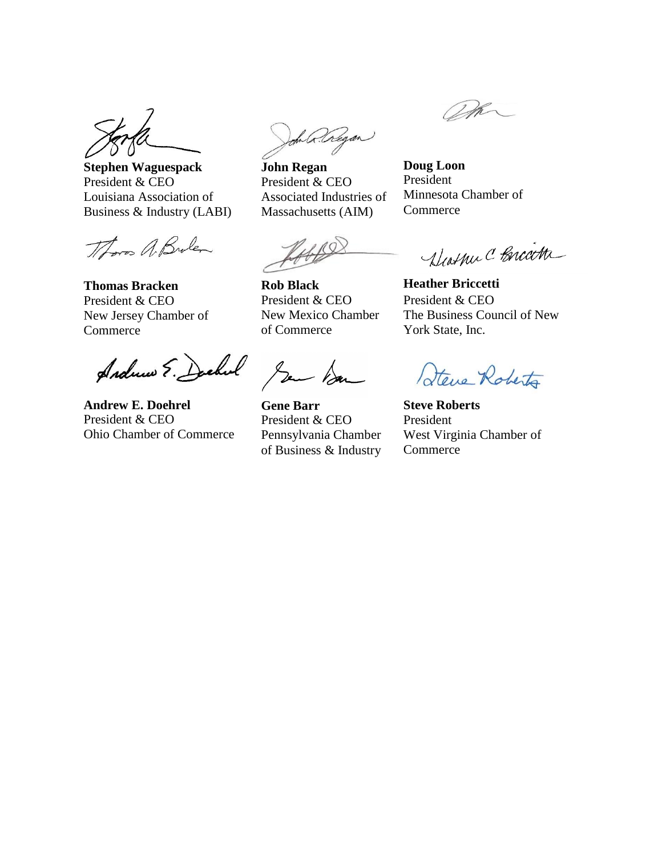**Stephen Waguespack** President & CEO Louisiana Association of Business & Industry (LABI)

Thoras A Brolen

**Thomas Bracken** President & CEO New Jersey Chamber of **Commerce** 

Andrew E. Deckel Jan Dan

**Andrew E. Doehrel** President & CEO Ohio Chamber of Commerce

John Regan

**John Regan** President & CEO Associated Industries of Massachusetts (AIM)

**Rob Black** President & CEO New Mexico Chamber of Commerce

**Gene Barr** President & CEO Pennsylvania Chamber of Business & Industry

Wh

**Doug Loon** President Minnesota Chamber of **Commerce** 

Diathu C Bricath

**Heather Briccetti** President & CEO The Business Council of New York State, Inc.

Steve Roberto

**Steve Roberts** President West Virginia Chamber of **Commerce**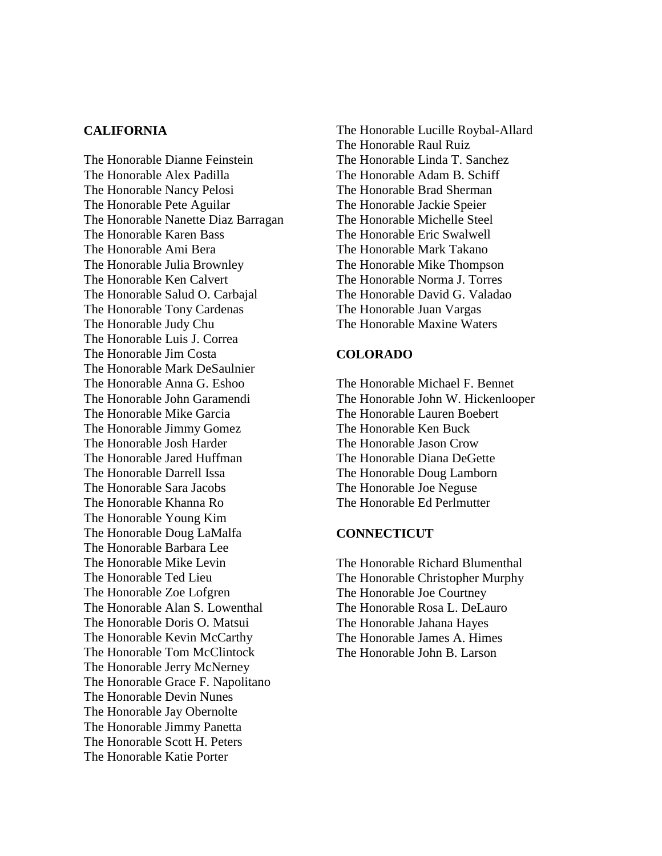## **CALIFORNIA**

The Honorable Dianne Feinstein The Honorable Alex Padilla The Honorable Nancy Pelosi The Honorable Pete Aguilar The Honorable Nanette Diaz Barragan The Honorable Karen Bass The Honorable Ami Bera The Honorable Julia Brownley The Honorable Ken Calvert The Honorable Salud O. Carbajal The Honorable Tony Cardenas The Honorable Judy Chu The Honorable Luis J. Correa The Honorable Jim Costa The Honorable Mark DeSaulnier The Honorable Anna G. Eshoo The Honorable John Garamendi The Honorable Mike Garcia The Honorable Jimmy Gomez The Honorable Josh Harder The Honorable Jared Huffman The Honorable Darrell Issa The Honorable Sara Jacobs The Honorable Khanna Ro The Honorable Young Kim The Honorable Doug LaMalfa The Honorable Barbara Lee The Honorable Mike Levin The Honorable Ted Lieu The Honorable Zoe Lofgren The Honorable Alan S. Lowenthal The Honorable Doris O. Matsui The Honorable Kevin McCarthy The Honorable Tom McClintock The Honorable Jerry McNerney The Honorable Grace F. Napolitano The Honorable Devin Nunes The Honorable Jay Obernolte The Honorable Jimmy Panetta The Honorable Scott H. Peters The Honorable Katie Porter

The Honorable Lucille Roybal-Allard The Honorable Raul Ruiz The Honorable Linda T. Sanchez The Honorable Adam B. Schiff The Honorable Brad Sherman The Honorable Jackie Speier The Honorable Michelle Steel The Honorable Eric Swalwell The Honorable Mark Takano The Honorable Mike Thompson The Honorable Norma J. Torres The Honorable David G. Valadao The Honorable Juan Vargas The Honorable Maxine Waters

#### **COLORADO**

The Honorable Michael F. Bennet The Honorable John W. Hickenlooper The Honorable Lauren Boebert The Honorable Ken Buck The Honorable Jason Crow The Honorable Diana DeGette The Honorable Doug Lamborn The Honorable Joe Neguse The Honorable Ed Perlmutter

#### **CONNECTICUT**

The Honorable Richard Blumenthal The Honorable Christopher Murphy The Honorable Joe Courtney The Honorable Rosa L. DeLauro The Honorable Jahana Hayes The Honorable James A. Himes The Honorable John B. Larson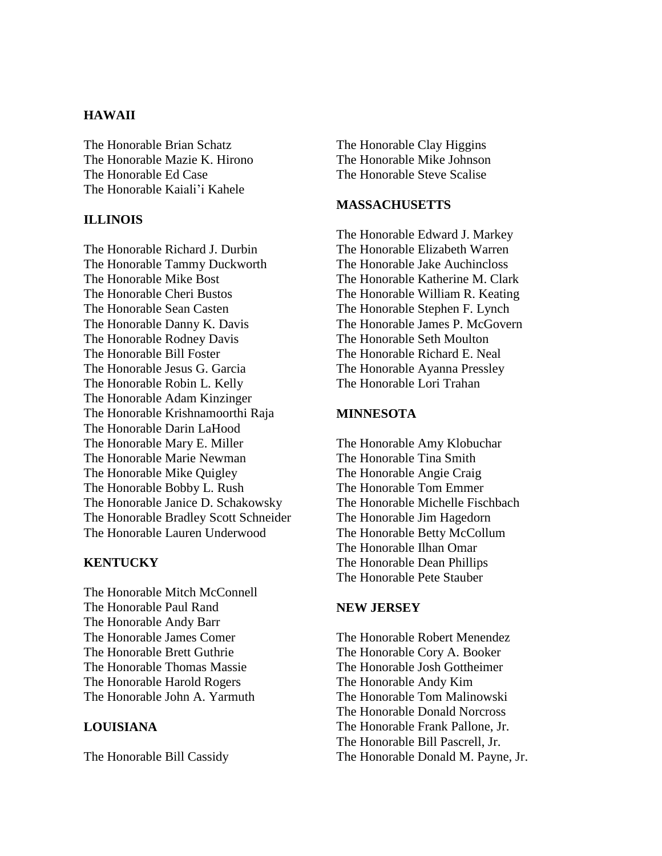# **HAWAII**

The Honorable Brian Schatz The Honorable Mazie K. Hirono The Honorable Ed Case The Honorable Kaiali'i Kahele

### **ILLINOIS**

The Honorable Richard J. Durbin The Honorable Tammy Duckworth The Honorable Mike Bost The Honorable Cheri Bustos The Honorable Sean Casten The Honorable Danny K. Davis The Honorable Rodney Davis The Honorable Bill Foster The Honorable Jesus G. Garcia The Honorable Robin L. Kelly The Honorable Adam Kinzinger The Honorable Krishnamoorthi Raja The Honorable Darin LaHood The Honorable Mary E. Miller The Honorable Marie Newman The Honorable Mike Quigley The Honorable Bobby L. Rush The Honorable Janice D. Schakowsky The Honorable Bradley Scott Schneider The Honorable Lauren Underwood

### **KENTUCKY**

The Honorable Mitch McConnell The Honorable Paul Rand The Honorable Andy Barr The Honorable James Comer The Honorable Brett Guthrie The Honorable Thomas Massie The Honorable Harold Rogers The Honorable John A. Yarmuth

# **LOUISIANA**

The Honorable Bill Cassidy

The Honorable Clay Higgins The Honorable Mike Johnson The Honorable Steve Scalise

## **MASSACHUSETTS**

The Honorable Edward J. Markey The Honorable Elizabeth Warren The Honorable Jake Auchincloss The Honorable Katherine M. Clark The Honorable William R. Keating The Honorable Stephen F. Lynch The Honorable James P. McGovern The Honorable Seth Moulton The Honorable Richard E. Neal The Honorable Ayanna Pressley The Honorable Lori Trahan

#### **MINNESOTA**

The Honorable Amy Klobuchar The Honorable Tina Smith The Honorable Angie Craig The Honorable Tom Emmer The Honorable Michelle Fischbach The Honorable Jim Hagedorn The Honorable Betty McCollum The Honorable Ilhan Omar The Honorable Dean Phillips The Honorable Pete Stauber

### **NEW JERSEY**

The Honorable Robert Menendez The Honorable Cory A. Booker The Honorable Josh Gottheimer The Honorable Andy Kim The Honorable Tom Malinowski The Honorable Donald Norcross The Honorable Frank Pallone, Jr. The Honorable Bill Pascrell, Jr. The Honorable Donald M. Payne, Jr.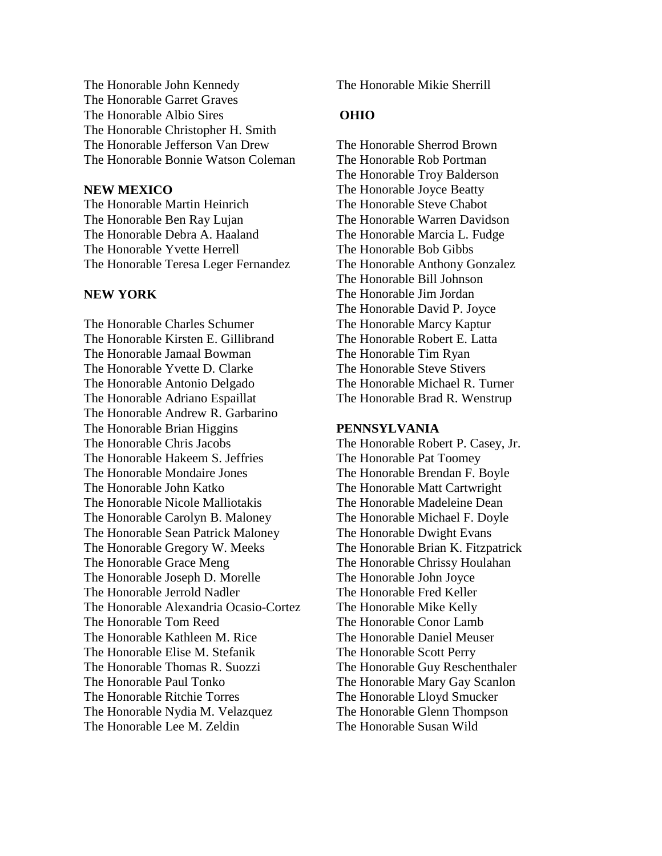The Honorable John Kennedy The Honorable Garret Graves The Honorable Albio Sires The Honorable Christopher H. Smith The Honorable Jefferson Van Drew The Honorable Bonnie Watson Coleman

### **NEW MEXICO**

The Honorable Martin Heinrich The Honorable Ben Ray Lujan The Honorable Debra A. Haaland The Honorable Yvette Herrell The Honorable Teresa Leger Fernandez

#### **NEW YORK**

The Honorable Charles Schumer The Honorable Kirsten E. Gillibrand The Honorable Jamaal Bowman The Honorable Yvette D. Clarke The Honorable Antonio Delgado The Honorable Adriano Espaillat The Honorable Andrew R. Garbarino The Honorable Brian Higgins The Honorable Chris Jacobs The Honorable Hakeem S. Jeffries The Honorable Mondaire Jones The Honorable John Katko The Honorable Nicole Malliotakis The Honorable Carolyn B. Maloney The Honorable Sean Patrick Maloney The Honorable Gregory W. Meeks The Honorable Grace Meng The Honorable Joseph D. Morelle The Honorable Jerrold Nadler The Honorable Alexandria Ocasio-Cortez The Honorable Tom Reed The Honorable Kathleen M. Rice The Honorable Elise M. Stefanik The Honorable Thomas R. Suozzi The Honorable Paul Tonko The Honorable Ritchie Torres The Honorable Nydia M. Velazquez The Honorable Lee M. Zeldin

The Honorable Mikie Sherrill

### **OHIO**

The Honorable Sherrod Brown The Honorable Rob Portman The Honorable Troy Balderson The Honorable Joyce Beatty The Honorable Steve Chabot The Honorable Warren Davidson The Honorable Marcia L. Fudge The Honorable Bob Gibbs The Honorable Anthony Gonzalez The Honorable Bill Johnson The Honorable Jim Jordan The Honorable David P. Joyce The Honorable Marcy Kaptur The Honorable Robert E. Latta The Honorable Tim Ryan The Honorable Steve Stivers The Honorable Michael R. Turner The Honorable Brad R. Wenstrup

#### **PENNSYLVANIA**

The Honorable Robert P. Casey, Jr. The Honorable Pat Toomey The Honorable Brendan F. Boyle The Honorable Matt Cartwright The Honorable Madeleine Dean The Honorable Michael F. Doyle The Honorable Dwight Evans The Honorable Brian K. Fitzpatrick The Honorable Chrissy Houlahan The Honorable John Joyce The Honorable Fred Keller The Honorable Mike Kelly The Honorable Conor Lamb The Honorable Daniel Meuser The Honorable Scott Perry The Honorable Guy Reschenthaler The Honorable Mary Gay Scanlon The Honorable Lloyd Smucker The Honorable Glenn Thompson The Honorable Susan Wild